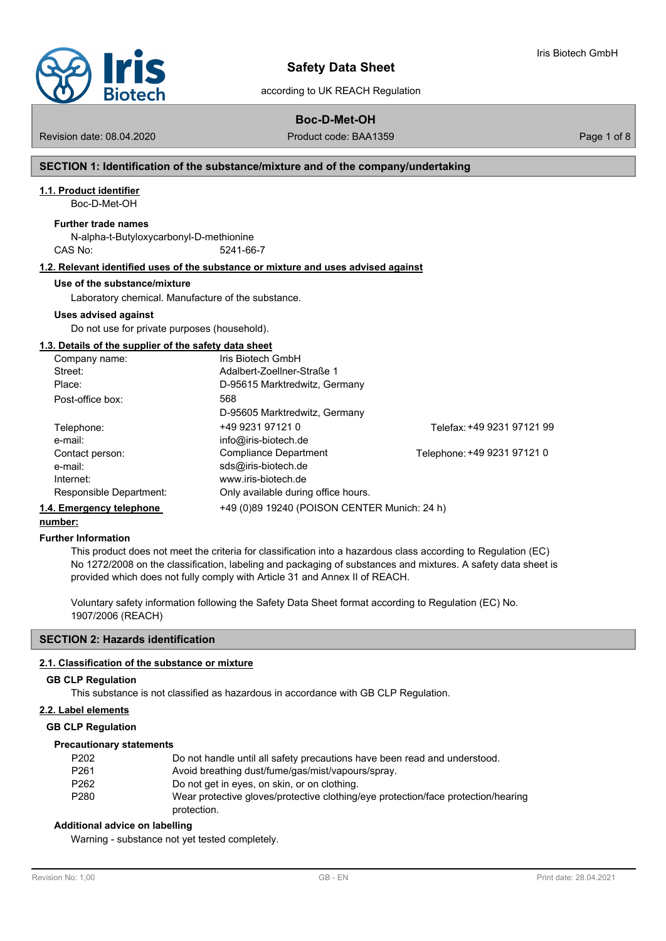

according to UK REACH Regulation

# **Boc-D-Met-OH**

Revision date: 08.04.2020 **Product code: BAA1359** Page 1 of 8

Iris Biotech GmbH

## **SECTION 1: Identification of the substance/mixture and of the company/undertaking**

## **1.1. Product identifier**

Boc-D-Met-OH

#### **Further trade names**

N-alpha-t-Butyloxycarbonyl-D-methionine CAS No: 5241-66-7

#### **1.2. Relevant identified uses of the substance or mixture and uses advised against**

#### **Use of the substance/mixture**

Laboratory chemical. Manufacture of the substance.

#### **Uses advised against**

Do not use for private purposes (household).

## **1.3. Details of the supplier of the safety data sheet**

| Company name:            | Iris Biotech GmbH                            |                             |
|--------------------------|----------------------------------------------|-----------------------------|
| Street:                  | Adalbert-Zoellner-Straße 1                   |                             |
| Place:                   | D-95615 Marktredwitz, Germany                |                             |
| Post-office box:         | 568                                          |                             |
|                          | D-95605 Marktredwitz, Germany                |                             |
| Telephone:               | +49 9231 97121 0                             | Telefax: +49 9231 97121 99  |
| e-mail:                  | info@iris-biotech.de                         |                             |
| Contact person:          | <b>Compliance Department</b>                 | Telephone: +49 9231 97121 0 |
| e-mail:                  | sds@iris-biotech.de                          |                             |
| Internet:                | www.iris-biotech.de                          |                             |
| Responsible Department:  | Only available during office hours.          |                             |
| 1.4. Emergency telephone | +49 (0)89 19240 (POISON CENTER Munich: 24 h) |                             |

# **number:**

#### **Further Information**

This product does not meet the criteria for classification into a hazardous class according to Regulation (EC) No 1272/2008 on the classification, labeling and packaging of substances and mixtures. A safety data sheet is provided which does not fully comply with Article 31 and Annex II of REACH.

Voluntary safety information following the Safety Data Sheet format according to Regulation (EC) No. 1907/2006 (REACH)

#### **SECTION 2: Hazards identification**

#### **2.1. Classification of the substance or mixture**

#### **GB CLP Regulation**

This substance is not classified as hazardous in accordance with GB CLP Regulation.

#### **2.2. Label elements**

#### **GB CLP Regulation**

#### **Precautionary statements**

| P <sub>202</sub> | Do not handle until all safety precautions have been read and understood.         |
|------------------|-----------------------------------------------------------------------------------|
| P <sub>261</sub> | Avoid breathing dust/fume/gas/mist/vapours/spray.                                 |
| P <sub>262</sub> | Do not get in eyes, on skin, or on clothing.                                      |
| P <sub>280</sub> | Wear protective gloves/protective clothing/eye protection/face protection/hearing |
|                  | protection.                                                                       |

#### **Additional advice on labelling**

Warning - substance not yet tested completely.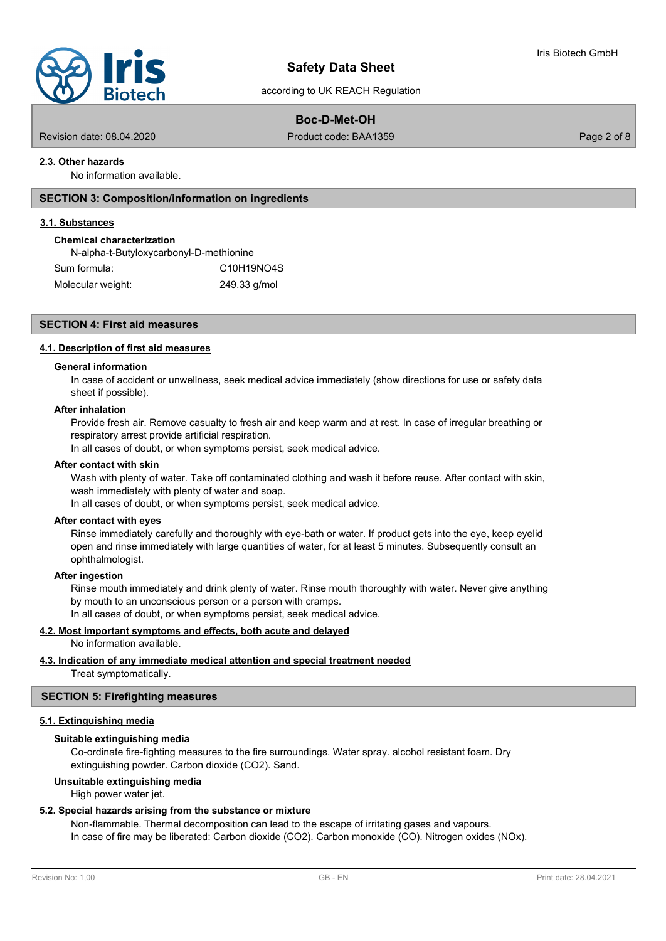

# according to UK REACH Regulation

# **Boc-D-Met-OH**

Revision date: 08.04.2020 Product code: BAA1359 Page 2 of 8

## **2.3. Other hazards**

No information available.

# **SECTION 3: Composition/information on ingredients**

#### **3.1. Substances**

#### **Chemical characterization**

N-alpha-t-Butyloxycarbonyl-D-methionine Sum formula: C10H19NO4S Molecular weight: 249.33 g/mol

#### **SECTION 4: First aid measures**

#### **4.1. Description of first aid measures**

# **General information**

In case of accident or unwellness, seek medical advice immediately (show directions for use or safety data sheet if possible).

#### **After inhalation**

Provide fresh air. Remove casualty to fresh air and keep warm and at rest. In case of irregular breathing or respiratory arrest provide artificial respiration.

In all cases of doubt, or when symptoms persist, seek medical advice.

#### **After contact with skin**

Wash with plenty of water. Take off contaminated clothing and wash it before reuse. After contact with skin, wash immediately with plenty of water and soap.

In all cases of doubt, or when symptoms persist, seek medical advice.

#### **After contact with eyes**

Rinse immediately carefully and thoroughly with eye-bath or water. If product gets into the eye, keep eyelid open and rinse immediately with large quantities of water, for at least 5 minutes. Subsequently consult an ophthalmologist.

#### **After ingestion**

Rinse mouth immediately and drink plenty of water. Rinse mouth thoroughly with water. Never give anything by mouth to an unconscious person or a person with cramps.

In all cases of doubt, or when symptoms persist, seek medical advice.

## **4.2. Most important symptoms and effects, both acute and delayed**

No information available.

# **4.3. Indication of any immediate medical attention and special treatment needed**

Treat symptomatically.

# **SECTION 5: Firefighting measures**

#### **5.1. Extinguishing media**

#### **Suitable extinguishing media**

Co-ordinate fire-fighting measures to the fire surroundings. Water spray. alcohol resistant foam. Dry extinguishing powder. Carbon dioxide (CO2). Sand.

#### **Unsuitable extinguishing media**

High power water jet.

#### **5.2. Special hazards arising from the substance or mixture**

Non-flammable. Thermal decomposition can lead to the escape of irritating gases and vapours. In case of fire may be liberated: Carbon dioxide (CO2). Carbon monoxide (CO). Nitrogen oxides (NOx).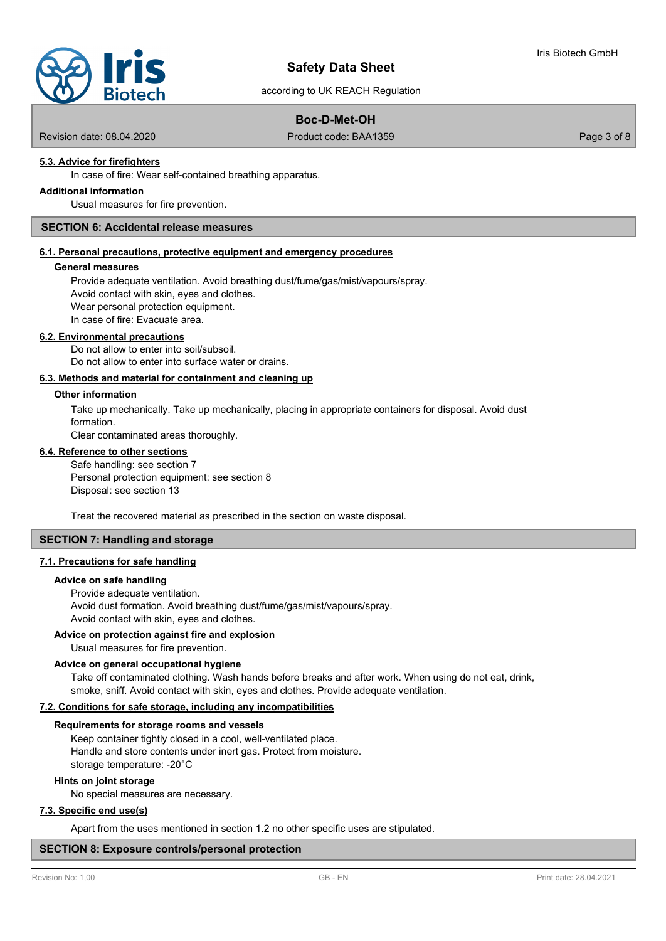according to UK REACH Regulation

# **Boc-D-Met-OH**

Revision date: 08.04.2020 Product code: BAA1359 Page 3 of 8

# **5.3. Advice for firefighters**

In case of fire: Wear self-contained breathing apparatus.

# **Additional information**

Usual measures for fire prevention.

# **SECTION 6: Accidental release measures**

## **6.1. Personal precautions, protective equipment and emergency procedures**

#### **General measures**

Provide adequate ventilation. Avoid breathing dust/fume/gas/mist/vapours/spray. Avoid contact with skin, eyes and clothes. Wear personal protection equipment. In case of fire: Evacuate area.

#### **6.2. Environmental precautions**

Do not allow to enter into soil/subsoil. Do not allow to enter into surface water or drains.

#### **6.3. Methods and material for containment and cleaning up**

#### **Other information**

Take up mechanically. Take up mechanically, placing in appropriate containers for disposal. Avoid dust formation.

Clear contaminated areas thoroughly.

#### **6.4. Reference to other sections**

Safe handling: see section 7 Personal protection equipment: see section 8 Disposal: see section 13

Treat the recovered material as prescribed in the section on waste disposal.

### **SECTION 7: Handling and storage**

#### **7.1. Precautions for safe handling**

#### **Advice on safe handling**

Provide adequate ventilation. Avoid dust formation. Avoid breathing dust/fume/gas/mist/vapours/spray. Avoid contact with skin, eyes and clothes.

# **Advice on protection against fire and explosion**

Usual measures for fire prevention.

#### **Advice on general occupational hygiene**

Take off contaminated clothing. Wash hands before breaks and after work. When using do not eat, drink, smoke, sniff. Avoid contact with skin, eyes and clothes. Provide adequate ventilation.

# **7.2. Conditions for safe storage, including any incompatibilities**

#### **Requirements for storage rooms and vessels**

Keep container tightly closed in a cool, well-ventilated place. Handle and store contents under inert gas. Protect from moisture. storage temperature: -20°C

#### **Hints on joint storage**

No special measures are necessary.

## **7.3. Specific end use(s)**

Apart from the uses mentioned in section 1.2 no other specific uses are stipulated.

#### **SECTION 8: Exposure controls/personal protection**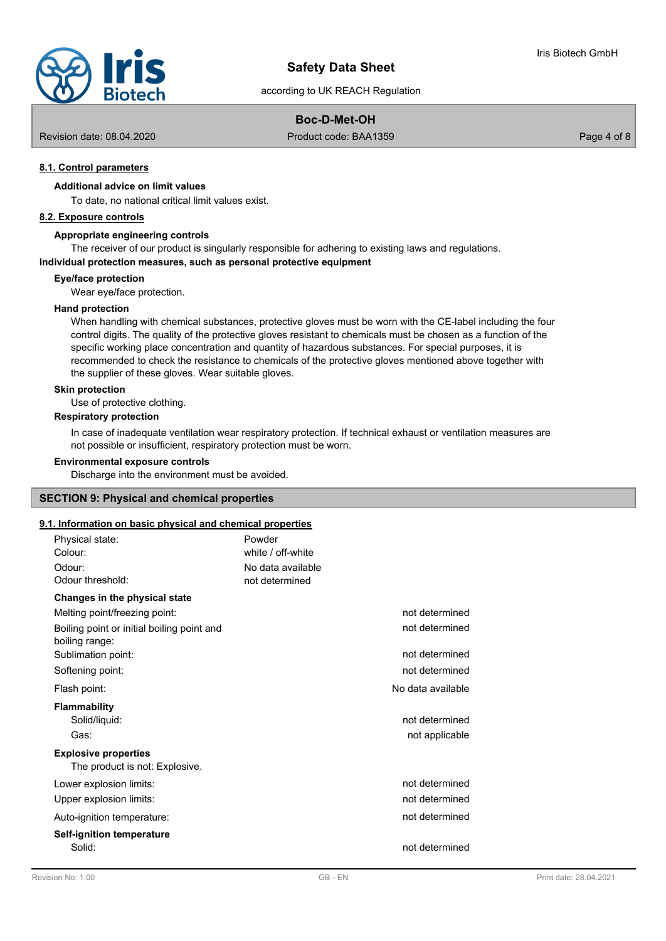

# according to UK REACH Regulation

# **Boc-D-Met-OH**

Revision date: 08.04.2020 Product code: BAA1359 Page 4 of 8

# **8.1. Control parameters**

# **Additional advice on limit values**

To date, no national critical limit values exist.

# **8.2. Exposure controls**

#### **Appropriate engineering controls**

The receiver of our product is singularly responsible for adhering to existing laws and regulations.

# **Individual protection measures, such as personal protective equipment**

#### **Eye/face protection**

Wear eye/face protection.

#### **Hand protection**

When handling with chemical substances, protective gloves must be worn with the CE-label including the four control digits. The quality of the protective gloves resistant to chemicals must be chosen as a function of the specific working place concentration and quantity of hazardous substances. For special purposes, it is recommended to check the resistance to chemicals of the protective gloves mentioned above together with the supplier of these gloves. Wear suitable gloves.

#### **Skin protection**

Use of protective clothing.

#### **Respiratory protection**

In case of inadequate ventilation wear respiratory protection. If technical exhaust or ventilation measures are not possible or insufficient, respiratory protection must be worn.

#### **Environmental exposure controls**

Discharge into the environment must be avoided.

## **SECTION 9: Physical and chemical properties**

#### **9.1. Information on basic physical and chemical properties**

| Physical state:<br>Colour:<br>Odour:<br>Odour threshold:      | Powder<br>white / off-white<br>No data available<br>not determined |
|---------------------------------------------------------------|--------------------------------------------------------------------|
| Changes in the physical state                                 |                                                                    |
| Melting point/freezing point:                                 | not determined                                                     |
| Boiling point or initial boiling point and<br>boiling range:  | not determined                                                     |
| Sublimation point:                                            | not determined                                                     |
| Softening point:                                              | not determined                                                     |
| Flash point:                                                  | No data available                                                  |
| <b>Flammability</b>                                           |                                                                    |
| Solid/liquid:                                                 | not determined                                                     |
| Gas:                                                          | not applicable                                                     |
| <b>Explosive properties</b><br>The product is not: Explosive. |                                                                    |
| Lower explosion limits:                                       | not determined                                                     |
| Upper explosion limits:                                       | not determined                                                     |
| Auto-ignition temperature:                                    | not determined                                                     |
| <b>Self-ignition temperature</b><br>Solid:                    | not determined                                                     |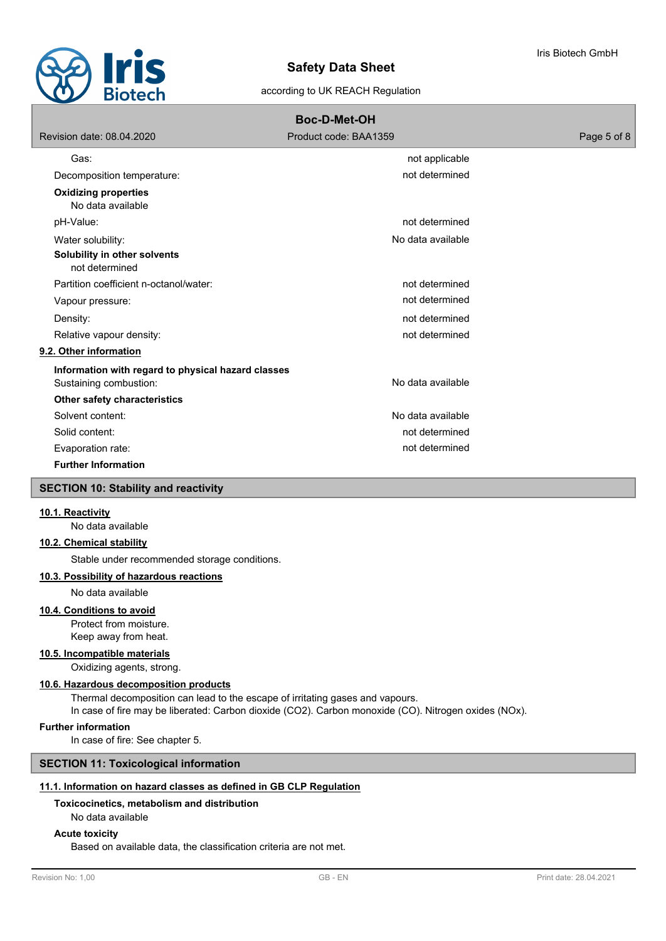

# according to UK REACH Regulation

| <b>Boc-D-Met-OH</b>                                                          |                       |             |  |  |
|------------------------------------------------------------------------------|-----------------------|-------------|--|--|
| Revision date: 08.04.2020                                                    | Product code: BAA1359 | Page 5 of 8 |  |  |
| Gas:                                                                         | not applicable        |             |  |  |
| Decomposition temperature:                                                   | not determined        |             |  |  |
| <b>Oxidizing properties</b><br>No data available                             |                       |             |  |  |
| pH-Value:                                                                    | not determined        |             |  |  |
| Water solubility:                                                            | No data available     |             |  |  |
| Solubility in other solvents<br>not determined                               |                       |             |  |  |
| Partition coefficient n-octanol/water:                                       | not determined        |             |  |  |
| Vapour pressure:                                                             | not determined        |             |  |  |
| Density:                                                                     | not determined        |             |  |  |
| Relative vapour density:                                                     | not determined        |             |  |  |
| 9.2. Other information                                                       |                       |             |  |  |
| Information with regard to physical hazard classes<br>Sustaining combustion: | No data available     |             |  |  |
| Other safety characteristics                                                 |                       |             |  |  |
| Solvent content:                                                             | No data available     |             |  |  |
| Solid content:                                                               | not determined        |             |  |  |
| Evaporation rate:                                                            | not determined        |             |  |  |
| <b>Further Information</b>                                                   |                       |             |  |  |
| <b>SECTION 10: Stability and reactivity</b>                                  |                       |             |  |  |

# **10.1. Reactivity**

No data available

# **10.2. Chemical stability**

Stable under recommended storage conditions.

# **10.3. Possibility of hazardous reactions**

No data available

# **10.4. Conditions to avoid**

Protect from moisture.

Keep away from heat.

# **10.5. Incompatible materials**

Oxidizing agents, strong.

# **10.6. Hazardous decomposition products**

Thermal decomposition can lead to the escape of irritating gases and vapours.

In case of fire may be liberated: Carbon dioxide (CO2). Carbon monoxide (CO). Nitrogen oxides (NOx).

#### **Further information**

In case of fire: See chapter 5.

# **SECTION 11: Toxicological information**

# **11.1. Information on hazard classes as defined in GB CLP Regulation**

# **Toxicocinetics, metabolism and distribution**

No data available

#### **Acute toxicity**

Based on available data, the classification criteria are not met.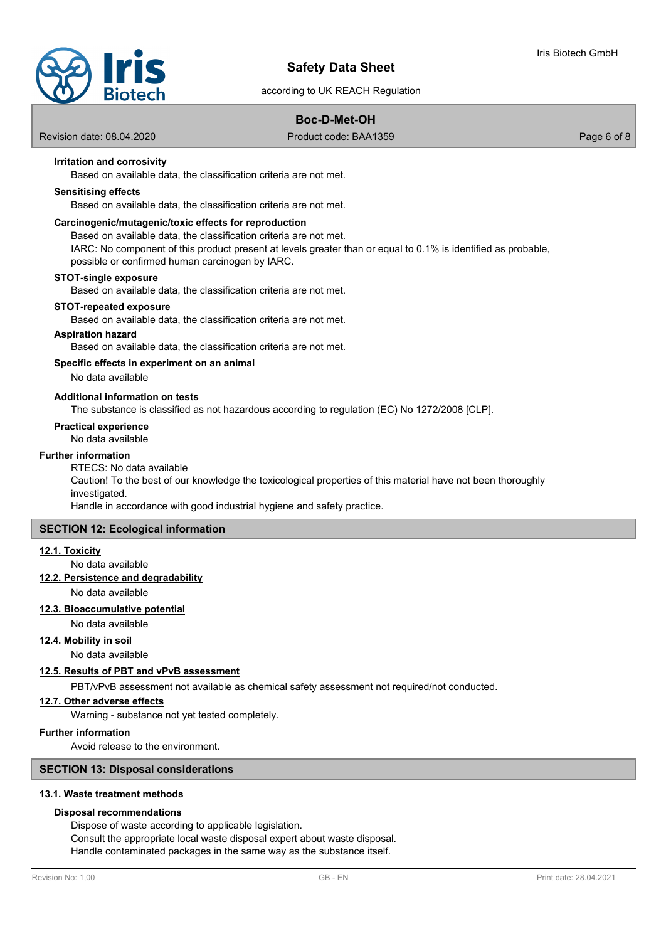

according to UK REACH Regulation

# **Boc-D-Met-OH**

Revision date: 08.04.2020 Product code: BAA1359 Page 6 of 8

# **Irritation and corrosivity**

Based on available data, the classification criteria are not met.

#### **Sensitising effects**

Based on available data, the classification criteria are not met.

## **Carcinogenic/mutagenic/toxic effects for reproduction**

Based on available data, the classification criteria are not met.

IARC: No component of this product present at levels greater than or equal to 0.1% is identified as probable, possible or confirmed human carcinogen by IARC.

#### **STOT-single exposure**

Based on available data, the classification criteria are not met.

#### **STOT-repeated exposure**

Based on available data, the classification criteria are not met.

#### **Aspiration hazard**

Based on available data, the classification criteria are not met.

#### **Specific effects in experiment on an animal**

No data available

## **Additional information on tests**

The substance is classified as not hazardous according to regulation (EC) No 1272/2008 [CLP].

#### **Practical experience**

No data available

#### **Further information**

RTECS: No data available Caution! To the best of our knowledge the toxicological properties of this material have not been thoroughly investigated.

Handle in accordance with good industrial hygiene and safety practice.

#### **SECTION 12: Ecological information**

#### **12.1. Toxicity**

No data available

# **12.2. Persistence and degradability**

No data available

#### **12.3. Bioaccumulative potential**

# No data available

**12.4. Mobility in soil**

No data available

#### **12.5. Results of PBT and vPvB assessment**

PBT/vPvB assessment not available as chemical safety assessment not required/not conducted.

#### **12.7. Other adverse effects**

Warning - substance not yet tested completely.

#### **Further information**

Avoid release to the environment.

#### **SECTION 13: Disposal considerations**

## **13.1. Waste treatment methods**

#### **Disposal recommendations**

Dispose of waste according to applicable legislation. Consult the appropriate local waste disposal expert about waste disposal. Handle contaminated packages in the same way as the substance itself.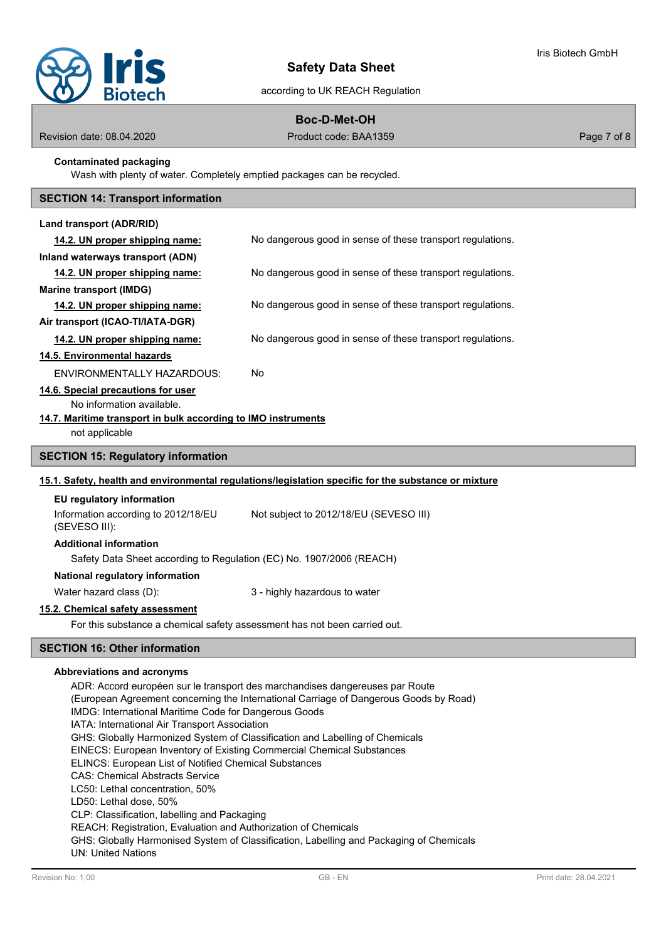

# according to UK REACH Regulation

# **Boc-D-Met-OH**

Revision date: 08.04.2020 Product code: BAA1359 Page 7 of 8

## **Contaminated packaging**

Wash with plenty of water. Completely emptied packages can be recycled.

## **SECTION 14: Transport information**

| Land transport (ADR/RID)                                                                             |                                                            |  |  |
|------------------------------------------------------------------------------------------------------|------------------------------------------------------------|--|--|
| 14.2. UN proper shipping name:                                                                       | No dangerous good in sense of these transport regulations. |  |  |
| Inland waterways transport (ADN)                                                                     |                                                            |  |  |
| 14.2. UN proper shipping name:                                                                       | No dangerous good in sense of these transport regulations. |  |  |
| <b>Marine transport (IMDG)</b>                                                                       |                                                            |  |  |
| 14.2. UN proper shipping name:                                                                       | No dangerous good in sense of these transport regulations. |  |  |
| Air transport (ICAO-TI/IATA-DGR)                                                                     |                                                            |  |  |
| 14.2. UN proper shipping name:                                                                       | No dangerous good in sense of these transport regulations. |  |  |
| 14.5. Environmental hazards                                                                          |                                                            |  |  |
| <b>ENVIRONMENTALLY HAZARDOUS:</b>                                                                    | No                                                         |  |  |
| 14.6. Special precautions for user                                                                   |                                                            |  |  |
| No information available.                                                                            |                                                            |  |  |
| 14.7. Maritime transport in bulk according to IMO instruments                                        |                                                            |  |  |
| not applicable                                                                                       |                                                            |  |  |
| <b>SECTION 15: Regulatory information</b>                                                            |                                                            |  |  |
| 15.1. Safety, health and environmental regulations/legislation specific for the substance or mixture |                                                            |  |  |
| EU regulatory information                                                                            |                                                            |  |  |
| Information according to 2012/18/EU<br>(SEVESO III):                                                 | Not subject to 2012/18/EU (SEVESO III)                     |  |  |
| <b>Additional information</b>                                                                        |                                                            |  |  |
| Safety Data Sheet according to Regulation (EC) No. 1907/2006 (REACH)                                 |                                                            |  |  |

#### **National regulatory information**

Water hazard class (D):  $\qquad \qquad 3$  - highly hazardous to water

#### **15.2. Chemical safety assessment**

For this substance a chemical safety assessment has not been carried out.

# **SECTION 16: Other information**

# **Abbreviations and acronyms**

ADR: Accord européen sur le transport des marchandises dangereuses par Route (European Agreement concerning the International Carriage of Dangerous Goods by Road) IMDG: International Maritime Code for Dangerous Goods IATA: International Air Transport Association GHS: Globally Harmonized System of Classification and Labelling of Chemicals EINECS: European Inventory of Existing Commercial Chemical Substances ELINCS: European List of Notified Chemical Substances CAS: Chemical Abstracts Service LC50: Lethal concentration, 50% LD50: Lethal dose, 50% CLP: Classification, labelling and Packaging REACH: Registration, Evaluation and Authorization of Chemicals GHS: Globally Harmonised System of Classification, Labelling and Packaging of Chemicals UN: United Nations